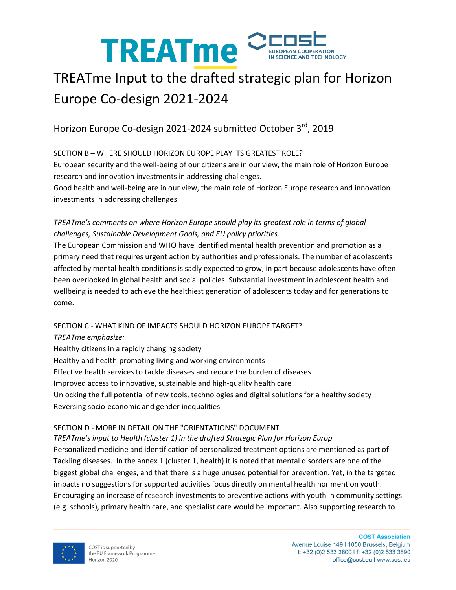

# TREATme Input to the drafted strategic plan for Horizon Europe Co-design 2021-2024

## Horizon Europe Co-design 2021-2024 submitted October 3<sup>rd</sup>, 2019

#### SECTION B – WHERE SHOULD HORIZON EUROPE PLAY ITS GREATEST ROLE?

European security and the well-being of our citizens are in our view, the main role of Horizon Europe research and innovation investments in addressing challenges.

Good health and well-being are in our view, the main role of Horizon Europe research and innovation investments in addressing challenges.

#### *TREATme's comments on where Horizon Europe should play its greatest role in terms of global challenges, Sustainable Development Goals, and EU policy priorities.*

The European Commission and WHO have identified mental health prevention and promotion as a primary need that requires urgent action by authorities and professionals. The number of adolescents affected by mental health conditions is sadly expected to grow, in part because adolescents have often been overlooked in global health and social policies. Substantial investment in adolescent health and wellbeing is needed to achieve the healthiest generation of adolescents today and for generations to come.

#### SECTION C - WHAT KIND OF IMPACTS SHOULD HORIZON EUROPE TARGET?

*TREATme emphasize:*

Healthy citizens in a rapidly changing society Healthy and health-promoting living and working environments Effective health services to tackle diseases and reduce the burden of diseases Improved access to innovative, sustainable and high-quality health care Unlocking the full potential of new tools, technologies and digital solutions for a healthy society Reversing socio-economic and gender inequalities

#### SECTION D - MORE IN DETAIL ON THE "ORIENTATIONS" DOCUMENT

*TREATme's input to Health (cluster 1) in the drafted Strategic Plan for Horizon Europ* Personalized medicine and identification of personalized treatment options are mentioned as part of Tackling diseases. In the annex 1 (cluster 1, health) it is noted that mental disorders are one of the biggest global challenges, and that there is a huge unused potential for prevention. Yet, in the targeted impacts no suggestions for supported activities focus directly on mental health nor mention youth. Encouraging an increase of research investments to preventive actions with youth in community settings (e.g. schools), primary health care, and specialist care would be important. Also supporting research to